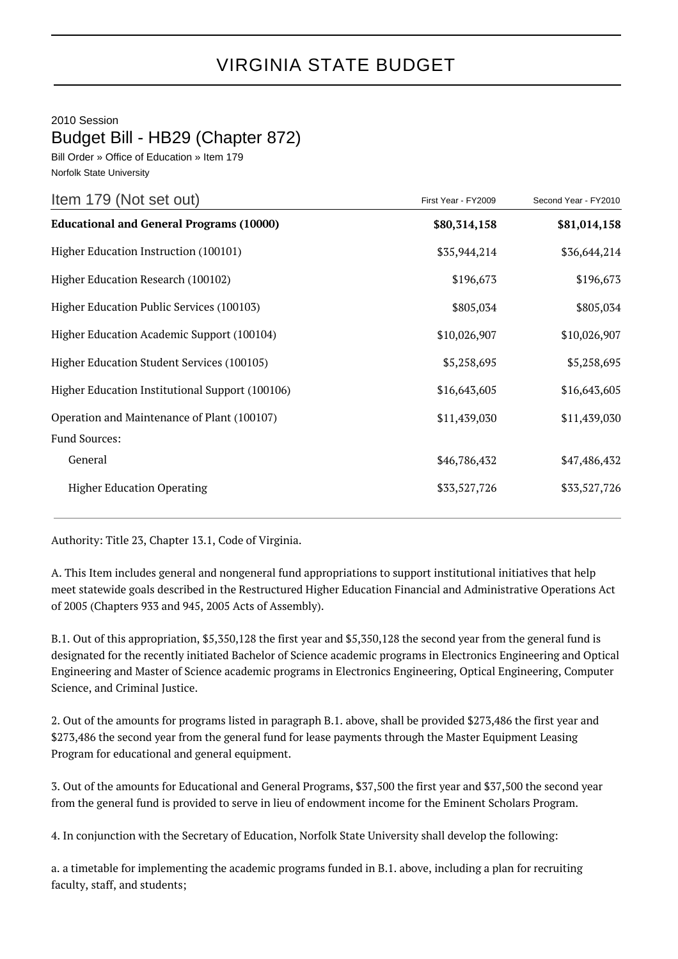## VIRGINIA STATE BUDGET

2010 Session

## Budget Bill - HB29 (Chapter 872)

Bill Order » Office of Education » Item 179 Norfolk State University

| Item 179 (Not set out)                          | First Year - FY2009 | Second Year - FY2010 |
|-------------------------------------------------|---------------------|----------------------|
| <b>Educational and General Programs (10000)</b> | \$80,314,158        | \$81,014,158         |
| Higher Education Instruction (100101)           | \$35,944,214        | \$36,644,214         |
| Higher Education Research (100102)              | \$196,673           | \$196,673            |
| Higher Education Public Services (100103)       | \$805,034           | \$805,034            |
| Higher Education Academic Support (100104)      | \$10,026,907        | \$10,026,907         |
| Higher Education Student Services (100105)      | \$5,258,695         | \$5,258,695          |
| Higher Education Institutional Support (100106) | \$16,643,605        | \$16,643,605         |
| Operation and Maintenance of Plant (100107)     | \$11,439,030        | \$11,439,030         |
| Fund Sources:                                   |                     |                      |
| General                                         | \$46,786,432        | \$47,486,432         |
| <b>Higher Education Operating</b>               | \$33,527,726        | \$33,527,726         |

Authority: Title 23, Chapter 13.1, Code of Virginia.

A. This Item includes general and nongeneral fund appropriations to support institutional initiatives that help meet statewide goals described in the Restructured Higher Education Financial and Administrative Operations Act of 2005 (Chapters 933 and 945, 2005 Acts of Assembly).

B.1. Out of this appropriation, \$5,350,128 the first year and \$5,350,128 the second year from the general fund is designated for the recently initiated Bachelor of Science academic programs in Electronics Engineering and Optical Engineering and Master of Science academic programs in Electronics Engineering, Optical Engineering, Computer Science, and Criminal Justice.

2. Out of the amounts for programs listed in paragraph B.1. above, shall be provided \$273,486 the first year and \$273,486 the second year from the general fund for lease payments through the Master Equipment Leasing Program for educational and general equipment.

3. Out of the amounts for Educational and General Programs, \$37,500 the first year and \$37,500 the second year from the general fund is provided to serve in lieu of endowment income for the Eminent Scholars Program.

4. In conjunction with the Secretary of Education, Norfolk State University shall develop the following:

a. a timetable for implementing the academic programs funded in B.1. above, including a plan for recruiting faculty, staff, and students;